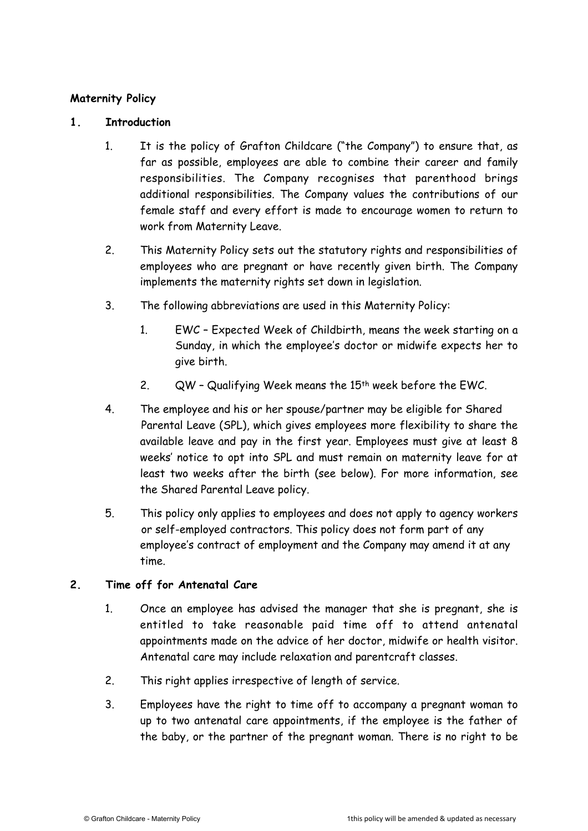### **Maternity Policy**

#### **1. Introduction**

- 1. It is the policy of Grafton Childcare ("the Company") to ensure that, as far as possible, employees are able to combine their career and family responsibilities. The Company recognises that parenthood brings additional responsibilities. The Company values the contributions of our female staff and every effort is made to encourage women to return to work from Maternity Leave.
- 2. This Maternity Policy sets out the statutory rights and responsibilities of employees who are pregnant or have recently given birth. The Company implements the maternity rights set down in legislation.
- 3. The following abbreviations are used in this Maternity Policy:
	- 1. EWC Expected Week of Childbirth, means the week starting on a Sunday, in which the employee's doctor or midwife expects her to give birth.
	- 2. QW Qualifying Week means the 15th week before the EWC.
- 4. The employee and his or her spouse/partner may be eligible for Shared Parental Leave (SPL), which gives employees more flexibility to share the available leave and pay in the first year. Employees must give at least 8 weeks' notice to opt into SPL and must remain on maternity leave for at least two weeks after the birth (see below). For more information, see the Shared Parental Leave policy.
- 5. This policy only applies to employees and does not apply to agency workers or self-employed contractors. This policy does not form part of any employee's contract of employment and the Company may amend it at any time.

### **2. Time off for Antenatal Care**

- 1. Once an employee has advised the manager that she is pregnant, she is entitled to take reasonable paid time off to attend antenatal appointments made on the advice of her doctor, midwife or health visitor. Antenatal care may include relaxation and parentcraft classes.
- 2. This right applies irrespective of length of service.
- 3. Employees have the right to time off to accompany a pregnant woman to up to two antenatal care appointments, if the employee is the father of the baby, or the partner of the pregnant woman. There is no right to be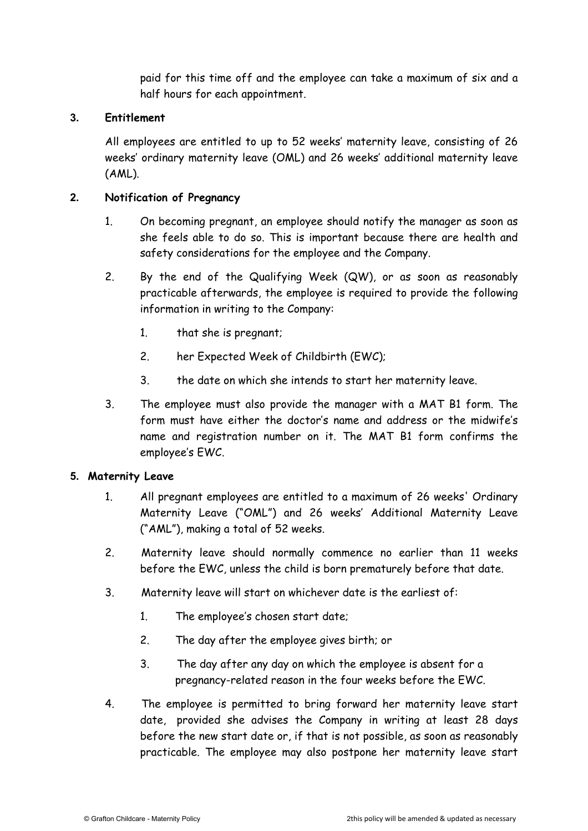paid for this time off and the employee can take a maximum of six and a half hours for each appointment.

### **3. Entitlement**

All employees are entitled to up to 52 weeks' maternity leave, consisting of 26 weeks' ordinary maternity leave (OML) and 26 weeks' additional maternity leave (AML).

## **2. Notification of Pregnancy**

- 1. On becoming pregnant, an employee should notify the manager as soon as she feels able to do so. This is important because there are health and safety considerations for the employee and the Company.
- 2. By the end of the Qualifying Week (QW), or as soon as reasonably practicable afterwards, the employee is required to provide the following information in writing to the Company:
	- 1. that she is pregnant;
	- 2. her Expected Week of Childbirth (EWC);
	- 3. the date on which she intends to start her maternity leave.
- 3. The employee must also provide the manager with a MAT B1 form. The form must have either the doctor's name and address or the midwife's name and registration number on it. The MAT B1 form confirms the employee's EWC.

### **5. Maternity Leave**

- 1. All pregnant employees are entitled to a maximum of 26 weeks' Ordinary Maternity Leave ("OML") and 26 weeks' Additional Maternity Leave ("AML"), making a total of 52 weeks.
- 2. Maternity leave should normally commence no earlier than 11 weeks before the EWC, unless the child is born prematurely before that date.
- 3. Maternity leave will start on whichever date is the earliest of:
	- 1. The employee's chosen start date;
	- 2. The day after the employee gives birth; or
	- 3. The day after any day on which the employee is absent for a pregnancy-related reason in the four weeks before the EWC.
- 4. The employee is permitted to bring forward her maternity leave start date, provided she advises the Company in writing at least 28 days before the new start date or, if that is not possible, as soon as reasonably practicable. The employee may also postpone her maternity leave start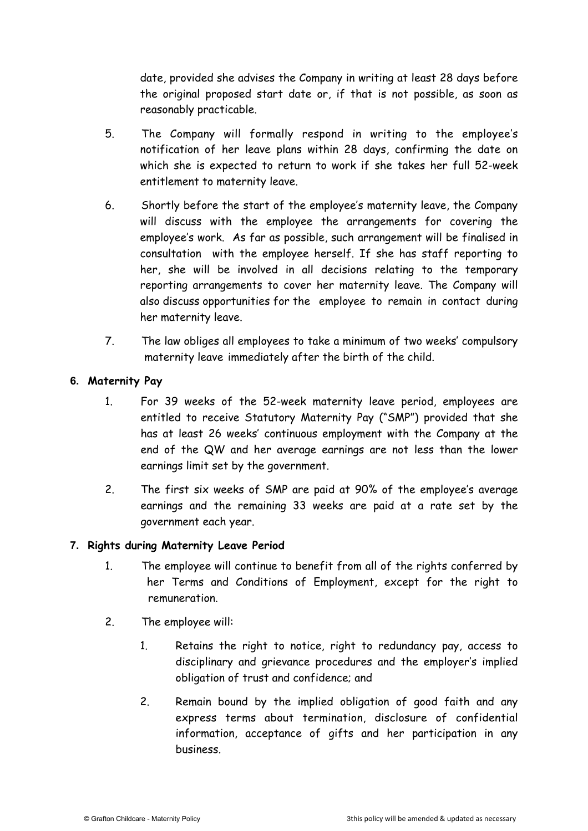date, provided she advises the Company in writing at least 28 days before the original proposed start date or, if that is not possible, as soon as reasonably practicable.

- 5. The Company will formally respond in writing to the employee's notification of her leave plans within 28 days, confirming the date on which she is expected to return to work if she takes her full 52-week entitlement to maternity leave.
- 6. Shortly before the start of the employee's maternity leave, the Company will discuss with the employee the arrangements for covering the employee's work. As far as possible, such arrangement will be finalised in consultation with the employee herself. If she has staff reporting to her, she will be involved in all decisions relating to the temporary reporting arrangements to cover her maternity leave. The Company will also discuss opportunities for the employee to remain in contact during her maternity leave.
- 7. The law obliges all employees to take a minimum of two weeks' compulsory maternity leave immediately after the birth of the child.

## **6. Maternity Pay**

- 1. For 39 weeks of the 52-week maternity leave period, employees are entitled to receive Statutory Maternity Pay ("SMP") provided that she has at least 26 weeks' continuous employment with the Company at the end of the QW and her average earnings are not less than the lower earnings limit set by the government.
- 2. The first six weeks of SMP are paid at 90% of the employee's average earnings and the remaining 33 weeks are paid at a rate set by the government each year.

### **7. Rights during Maternity Leave Period**

- 1. The employee will continue to benefit from all of the rights conferred by her Terms and Conditions of Employment, except for the right to remuneration.
- 2. The employee will:
	- 1. Retains the right to notice, right to redundancy pay, access to disciplinary and grievance procedures and the employer's implied obligation of trust and confidence; and
	- 2. Remain bound by the implied obligation of good faith and any express terms about termination, disclosure of confidential information, acceptance of gifts and her participation in any business.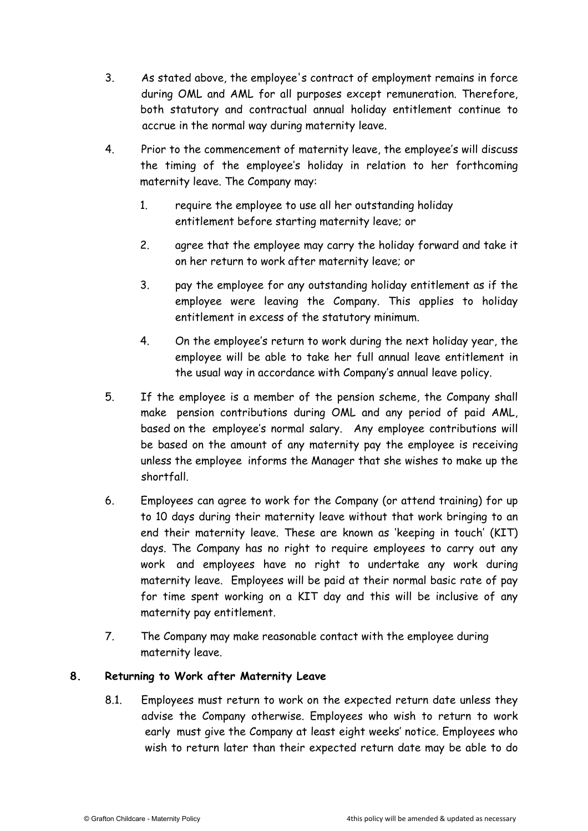- 3. As stated above, the employee's contract of employment remains in force during OML and AML for all purposes except remuneration. Therefore, both statutory and contractual annual holiday entitlement continue to accrue in the normal way during maternity leave.
- 4. Prior to the commencement of maternity leave, the employee's will discuss the timing of the employee's holiday in relation to her forthcoming maternity leave. The Company may:
	- 1. require the employee to use all her outstanding holiday entitlement before starting maternity leave; or
	- 2. agree that the employee may carry the holiday forward and take it on her return to work after maternity leave; or
	- 3. pay the employee for any outstanding holiday entitlement as if the employee were leaving the Company. This applies to holiday entitlement in excess of the statutory minimum.
	- 4. On the employee's return to work during the next holiday year, the employee will be able to take her full annual leave entitlement in the usual way in accordance with Company's annual leave policy.
- 5. If the employee is a member of the pension scheme, the Company shall make pension contributions during OML and any period of paid AML, based on the employee's normal salary. Any employee contributions will be based on the amount of any maternity pay the employee is receiving unless the employee informs the Manager that she wishes to make up the shortfall.
- 6. Employees can agree to work for the Company (or attend training) for up to 10 days during their maternity leave without that work bringing to an end their maternity leave. These are known as 'keeping in touch' (KIT) days. The Company has no right to require employees to carry out any work and employees have no right to undertake any work during maternity leave. Employees will be paid at their normal basic rate of pay for time spent working on a KIT day and this will be inclusive of any maternity pay entitlement.
- 7. The Company may make reasonable contact with the employee during maternity leave.

# **8. Returning to Work after Maternity Leave**

8.1. Employees must return to work on the expected return date unless they advise the Company otherwise. Employees who wish to return to work early must give the Company at least eight weeks' notice. Employees who wish to return later than their expected return date may be able to do